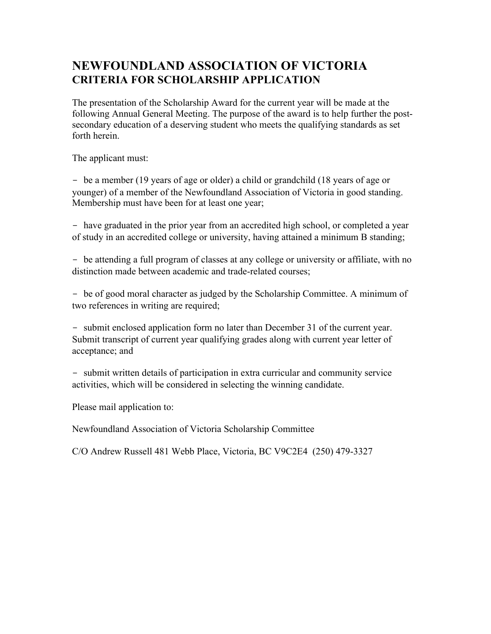## **NEWFOUNDLAND ASSOCIATION OF VICTORIA CRITERIA FOR SCHOLARSHIP APPLICATION**

The presentation of the Scholarship Award for the current year will be made at the following Annual General Meeting. The purpose of the award is to help further the postsecondary education of a deserving student who meets the qualifying standards as set forth herein.

The applicant must:

- be a member (19 years of age or older) a child or grandchild (18 years of age or younger) of a member of the Newfoundland Association of Victoria in good standing. Membership must have been for at least one year;

- have graduated in the prior year from an accredited high school, or completed a year of study in an accredited college or university, having attained a minimum B standing;

- be attending a full program of classes at any college or university or affiliate, with no distinction made between academic and trade-related courses;

- be of good moral character as judged by the Scholarship Committee. A minimum of two references in writing are required;

- submit enclosed application form no later than December 31 of the current year. Submit transcript of current year qualifying grades along with current year letter of acceptance; and

- submit written details of participation in extra curricular and community service activities, which will be considered in selecting the winning candidate.

Please mail application to:

Newfoundland Association of Victoria Scholarship Committee

C/O Andrew Russell 481 Webb Place, Victoria, BC V9C2E4 (250) 479-3327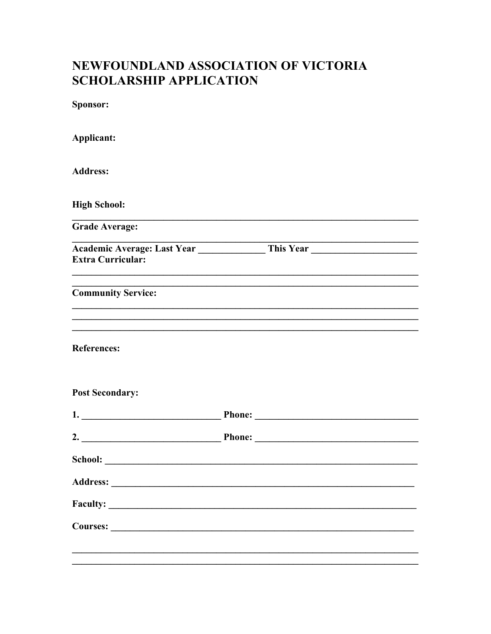## NEWFOUNDLAND ASSOCIATION OF VICTORIA **SCHOLARSHIP APPLICATION**

Sponsor:

| Applicant:                |  |
|---------------------------|--|
| <b>Address:</b>           |  |
| <b>High School:</b>       |  |
| <b>Grade Average:</b>     |  |
| <b>Extra Curricular:</b>  |  |
| <b>Community Service:</b> |  |
| <b>References:</b>        |  |
| <b>Post Secondary:</b>    |  |
|                           |  |
|                           |  |
|                           |  |
|                           |  |
|                           |  |
|                           |  |
|                           |  |
|                           |  |